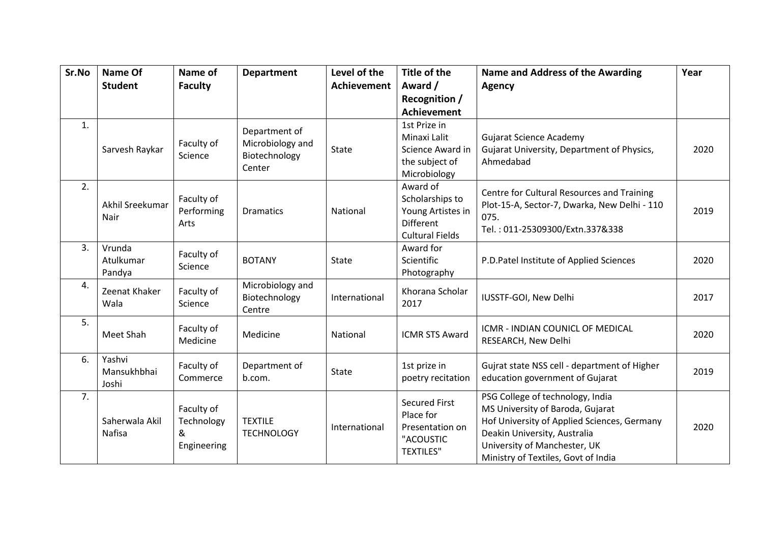| Sr.No | Name Of                        | Name of                                      | <b>Department</b>                                            | Level of the       | Title of the                                                                                   | Name and Address of the Awarding                                                                                                                                                                                           | Year |
|-------|--------------------------------|----------------------------------------------|--------------------------------------------------------------|--------------------|------------------------------------------------------------------------------------------------|----------------------------------------------------------------------------------------------------------------------------------------------------------------------------------------------------------------------------|------|
|       | <b>Student</b>                 | <b>Faculty</b>                               |                                                              | <b>Achievement</b> | Award /                                                                                        | <b>Agency</b>                                                                                                                                                                                                              |      |
|       |                                |                                              |                                                              |                    | Recognition /                                                                                  |                                                                                                                                                                                                                            |      |
|       |                                |                                              |                                                              |                    | <b>Achievement</b>                                                                             |                                                                                                                                                                                                                            |      |
| 1.    | Sarvesh Raykar                 | Faculty of<br>Science                        | Department of<br>Microbiology and<br>Biotechnology<br>Center | State              | 1st Prize in<br>Minaxi Lalit<br>Science Award in<br>the subject of<br>Microbiology             | <b>Gujarat Science Academy</b><br>Gujarat University, Department of Physics,<br>Ahmedabad                                                                                                                                  | 2020 |
| 2.    | Akhil Sreekumar<br>Nair        | Faculty of<br>Performing<br>Arts             | <b>Dramatics</b>                                             | National           | Award of<br>Scholarships to<br>Young Artistes in<br><b>Different</b><br><b>Cultural Fields</b> | Centre for Cultural Resources and Training<br>Plot-15-A, Sector-7, Dwarka, New Delhi - 110<br>075.<br>Tel.: 011-25309300/Extn.337&338                                                                                      | 2019 |
| 3.    | Vrunda<br>Atulkumar<br>Pandya  | Faculty of<br>Science                        | <b>BOTANY</b>                                                | State              | Award for<br>Scientific<br>Photography                                                         | P.D.Patel Institute of Applied Sciences                                                                                                                                                                                    | 2020 |
| 4.    | Zeenat Khaker<br>Wala          | Faculty of<br>Science                        | Microbiology and<br>Biotechnology<br>Centre                  | International      | Khorana Scholar<br>2017                                                                        | IUSSTF-GOI, New Delhi                                                                                                                                                                                                      | 2017 |
| 5.    | Meet Shah                      | Faculty of<br>Medicine                       | Medicine                                                     | <b>National</b>    | <b>ICMR STS Award</b>                                                                          | ICMR - INDIAN COUNICL OF MEDICAL<br>RESEARCH, New Delhi                                                                                                                                                                    | 2020 |
| 6.    | Yashvi<br>Mansukhbhai<br>Joshi | Faculty of<br>Commerce                       | Department of<br>b.com.                                      | State              | 1st prize in<br>poetry recitation                                                              | Gujrat state NSS cell - department of Higher<br>education government of Gujarat                                                                                                                                            | 2019 |
| 7.    | Saherwala Akil<br>Nafisa       | Faculty of<br>Technology<br>&<br>Engineering | <b>TEXTILE</b><br><b>TECHNOLOGY</b>                          | International      | <b>Secured First</b><br>Place for<br>Presentation on<br>"ACOUSTIC<br><b>TEXTILES"</b>          | PSG College of technology, India<br>MS University of Baroda, Gujarat<br>Hof University of Applied Sciences, Germany<br>Deakin University, Australia<br>University of Manchester, UK<br>Ministry of Textiles, Govt of India | 2020 |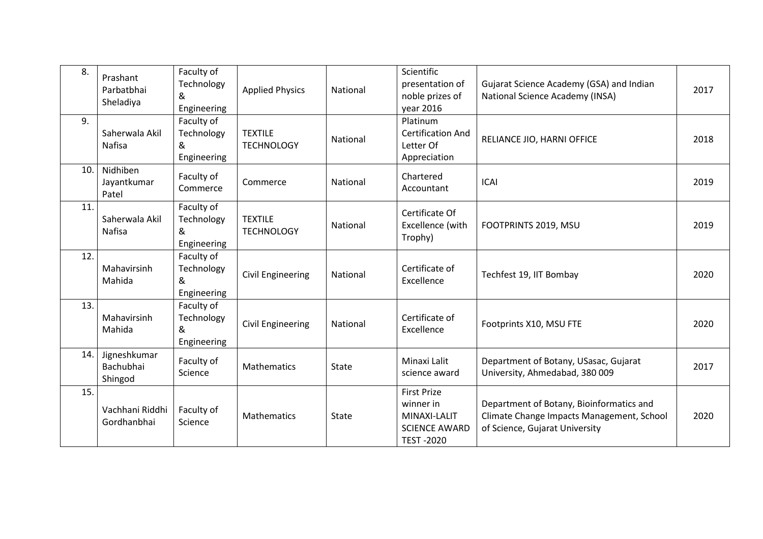| 8.  | Prashant<br>Parbatbhai<br>Sheladiya  | Faculty of<br>Technology<br>&<br>Engineering | <b>Applied Physics</b>              | National     | Scientific<br>presentation of<br>noble prizes of<br>year 2016                               | Gujarat Science Academy (GSA) and Indian<br>National Science Academy (INSA)                                             | 2017 |
|-----|--------------------------------------|----------------------------------------------|-------------------------------------|--------------|---------------------------------------------------------------------------------------------|-------------------------------------------------------------------------------------------------------------------------|------|
| 9.  | Saherwala Akil<br><b>Nafisa</b>      | Faculty of<br>Technology<br>&<br>Engineering | <b>TEXTILE</b><br><b>TECHNOLOGY</b> | National     | Platinum<br><b>Certification And</b><br>Letter Of<br>Appreciation                           | RELIANCE JIO, HARNI OFFICE                                                                                              | 2018 |
| 10. | Nidhiben<br>Jayantkumar<br>Patel     | Faculty of<br>Commerce                       | Commerce                            | National     | Chartered<br>Accountant                                                                     | <b>ICAI</b>                                                                                                             | 2019 |
| 11. | Saherwala Akil<br>Nafisa             | Faculty of<br>Technology<br>&<br>Engineering | <b>TEXTILE</b><br><b>TECHNOLOGY</b> | National     | Certificate Of<br>Excellence (with<br>Trophy)                                               | FOOTPRINTS 2019, MSU                                                                                                    | 2019 |
| 12. | Mahavirsinh<br>Mahida                | Faculty of<br>Technology<br>&<br>Engineering | Civil Engineering                   | National     | Certificate of<br>Excellence                                                                | Techfest 19, IIT Bombay                                                                                                 | 2020 |
| 13. | Mahavirsinh<br>Mahida                | Faculty of<br>Technology<br>&<br>Engineering | Civil Engineering                   | National     | Certificate of<br>Excellence                                                                | Footprints X10, MSU FTE                                                                                                 | 2020 |
| 14. | Jigneshkumar<br>Bachubhai<br>Shingod | Faculty of<br>Science                        | Mathematics                         | <b>State</b> | Minaxi Lalit<br>science award                                                               | Department of Botany, USasac, Gujarat<br>University, Ahmedabad, 380 009                                                 | 2017 |
| 15. | Vachhani Riddhi<br>Gordhanbhai       | Faculty of<br>Science                        | Mathematics                         | <b>State</b> | <b>First Prize</b><br>winner in<br>MINAXI-LALIT<br><b>SCIENCE AWARD</b><br><b>TEST-2020</b> | Department of Botany, Bioinformatics and<br>Climate Change Impacts Management, School<br>of Science, Gujarat University | 2020 |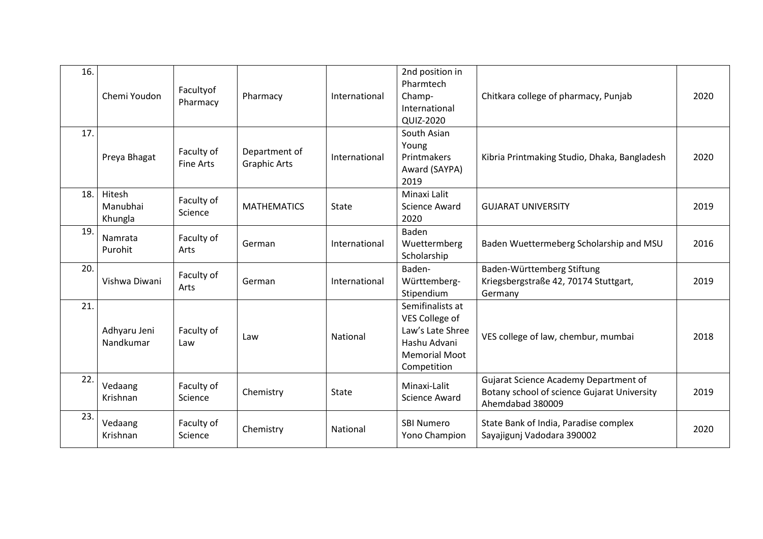| 16. | Chemi Youdon                  | Facultyof<br>Pharmacy          | Pharmacy                             | International | 2nd position in<br>Pharmtech<br>Champ-<br>International<br>QUIZ-2020                                          | Chitkara college of pharmacy, Punjab                                                                     | 2020 |
|-----|-------------------------------|--------------------------------|--------------------------------------|---------------|---------------------------------------------------------------------------------------------------------------|----------------------------------------------------------------------------------------------------------|------|
| 17. | Preya Bhagat                  | Faculty of<br><b>Fine Arts</b> | Department of<br><b>Graphic Arts</b> | International | South Asian<br>Young<br>Printmakers<br>Award (SAYPA)<br>2019                                                  | Kibria Printmaking Studio, Dhaka, Bangladesh                                                             | 2020 |
| 18. | Hitesh<br>Manubhai<br>Khungla | Faculty of<br>Science          | <b>MATHEMATICS</b>                   | <b>State</b>  | Minaxi Lalit<br><b>Science Award</b><br>2020                                                                  | <b>GUJARAT UNIVERSITY</b>                                                                                | 2019 |
| 19. | Namrata<br>Purohit            | Faculty of<br>Arts             | German                               | International | Baden<br>Wuettermberg<br>Scholarship                                                                          | Baden Wuettermeberg Scholarship and MSU                                                                  | 2016 |
| 20. | Vishwa Diwani                 | Faculty of<br>Arts             | German                               | International | Baden-<br>Württemberg-<br>Stipendium                                                                          | Baden-Württemberg Stiftung<br>Kriegsbergstraße 42, 70174 Stuttgart,<br>Germany                           | 2019 |
| 21. | Adhyaru Jeni<br>Nandkumar     | Faculty of<br>Law              | Law                                  | National      | Semifinalists at<br>VES College of<br>Law's Late Shree<br>Hashu Advani<br><b>Memorial Moot</b><br>Competition | VES college of law, chembur, mumbai                                                                      | 2018 |
| 22. | Vedaang<br>Krishnan           | Faculty of<br>Science          | Chemistry                            | State         | Minaxi-Lalit<br><b>Science Award</b>                                                                          | Gujarat Science Academy Department of<br>Botany school of science Gujarat University<br>Ahemdabad 380009 | 2019 |
| 23. | Vedaang<br>Krishnan           | Faculty of<br>Science          | Chemistry                            | National      | <b>SBI Numero</b><br>Yono Champion                                                                            | State Bank of India, Paradise complex<br>Sayajigunj Vadodara 390002                                      | 2020 |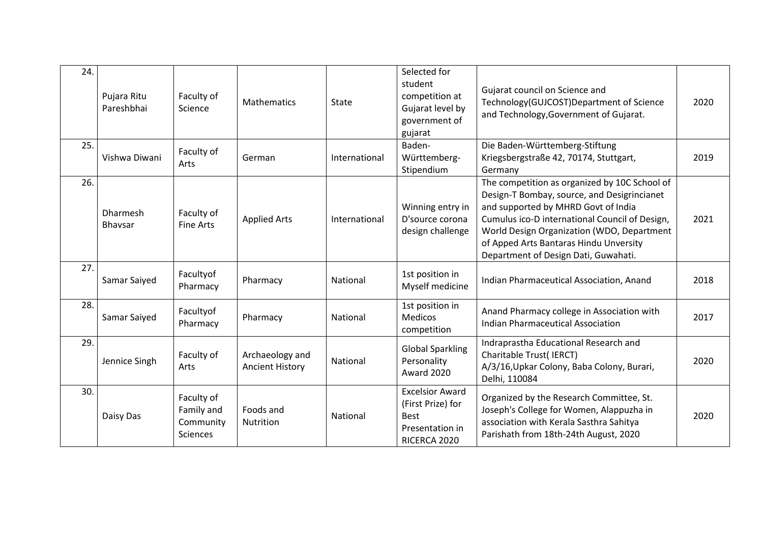| 24. | Pujara Ritu<br>Pareshbhai | Faculty of<br>Science                                    | <b>Mathematics</b>                        | State         | Selected for<br>student<br>competition at<br>Gujarat level by<br>government of<br>gujarat     | Gujarat council on Science and<br>Technology(GUJCOST)Department of Science<br>and Technology, Government of Gujarat.                                                                                                                                                                                                  | 2020 |
|-----|---------------------------|----------------------------------------------------------|-------------------------------------------|---------------|-----------------------------------------------------------------------------------------------|-----------------------------------------------------------------------------------------------------------------------------------------------------------------------------------------------------------------------------------------------------------------------------------------------------------------------|------|
| 25. | Vishwa Diwani             | Faculty of<br>Arts                                       | German                                    | International | Baden-<br>Württemberg-<br>Stipendium                                                          | Die Baden-Württemberg-Stiftung<br>Kriegsbergstraße 42, 70174, Stuttgart,<br>Germany                                                                                                                                                                                                                                   | 2019 |
| 26. | Dharmesh<br>Bhavsar       | Faculty of<br>Fine Arts                                  | <b>Applied Arts</b>                       | International | Winning entry in<br>D'source corona<br>design challenge                                       | The competition as organized by 10C School of<br>Design-T Bombay, source, and Desigrincianet<br>and supported by MHRD Govt of India<br>Cumulus ico-D international Council of Design,<br>World Design Organization (WDO, Department<br>of Apped Arts Bantaras Hindu Unversity<br>Department of Design Dati, Guwahati. | 2021 |
| 27. | Samar Saiyed              | Facultyof<br>Pharmacy                                    | Pharmacy                                  | National      | 1st position in<br>Myself medicine                                                            | Indian Pharmaceutical Association, Anand                                                                                                                                                                                                                                                                              | 2018 |
| 28. | Samar Saiyed              | Facultyof<br>Pharmacy                                    | Pharmacy                                  | National      | 1st position in<br><b>Medicos</b><br>competition                                              | Anand Pharmacy college in Association with<br><b>Indian Pharmaceutical Association</b>                                                                                                                                                                                                                                | 2017 |
| 29. | Jennice Singh             | Faculty of<br>Arts                                       | Archaeology and<br><b>Ancient History</b> | National      | <b>Global Sparkling</b><br>Personality<br><b>Award 2020</b>                                   | Indraprastha Educational Research and<br>Charitable Trust(IERCT)<br>A/3/16, Upkar Colony, Baba Colony, Burari,<br>Delhi, 110084                                                                                                                                                                                       | 2020 |
| 30. | Daisy Das                 | Faculty of<br>Family and<br>Community<br><b>Sciences</b> | Foods and<br><b>Nutrition</b>             | National      | <b>Excelsior Award</b><br>(First Prize) for<br><b>Best</b><br>Presentation in<br>RICERCA 2020 | Organized by the Research Committee, St.<br>Joseph's College for Women, Alappuzha in<br>association with Kerala Sasthra Sahitya<br>Parishath from 18th-24th August, 2020                                                                                                                                              | 2020 |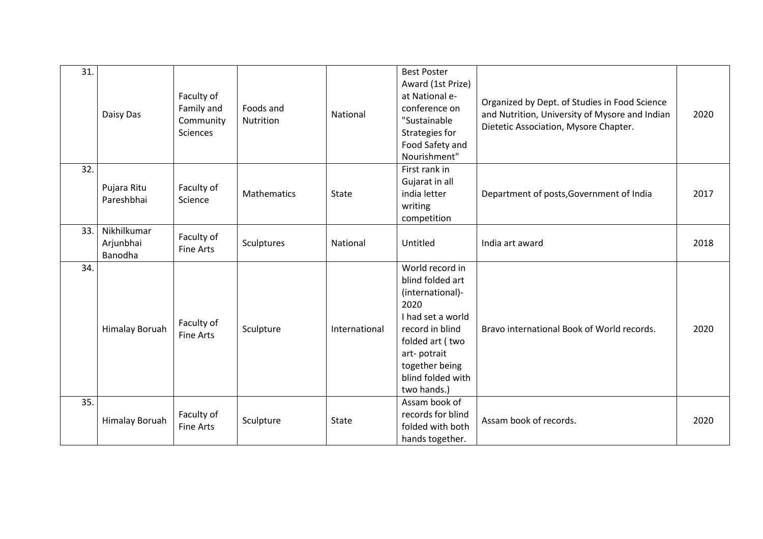| 31. | Daisy Das                           | Faculty of<br>Family and<br>Community<br><b>Sciences</b> | Foods and<br>Nutrition | National      | <b>Best Poster</b><br>Award (1st Prize)<br>at National e-<br>conference on<br>"Sustainable<br>Strategies for<br>Food Safety and<br>Nourishment"                                                 | Organized by Dept. of Studies in Food Science<br>and Nutrition, University of Mysore and Indian<br>Dietetic Association, Mysore Chapter. | 2020 |
|-----|-------------------------------------|----------------------------------------------------------|------------------------|---------------|-------------------------------------------------------------------------------------------------------------------------------------------------------------------------------------------------|------------------------------------------------------------------------------------------------------------------------------------------|------|
| 32. | Pujara Ritu<br>Pareshbhai           | Faculty of<br>Science                                    | Mathematics            | <b>State</b>  | First rank in<br>Gujarat in all<br>india letter<br>writing<br>competition                                                                                                                       | Department of posts, Government of India                                                                                                 | 2017 |
| 33. | Nikhilkumar<br>Arjunbhai<br>Banodha | Faculty of<br><b>Fine Arts</b>                           | Sculptures             | National      | Untitled                                                                                                                                                                                        | India art award                                                                                                                          | 2018 |
| 34. | <b>Himalay Boruah</b>               | Faculty of<br><b>Fine Arts</b>                           | Sculpture              | International | World record in<br>blind folded art<br>(international)-<br>2020<br>I had set a world<br>record in blind<br>folded art (two<br>art-potrait<br>together being<br>blind folded with<br>two hands.) | Bravo international Book of World records.                                                                                               | 2020 |
| 35. | <b>Himalay Boruah</b>               | Faculty of<br><b>Fine Arts</b>                           | Sculpture              | <b>State</b>  | Assam book of<br>records for blind<br>folded with both<br>hands together.                                                                                                                       | Assam book of records.                                                                                                                   | 2020 |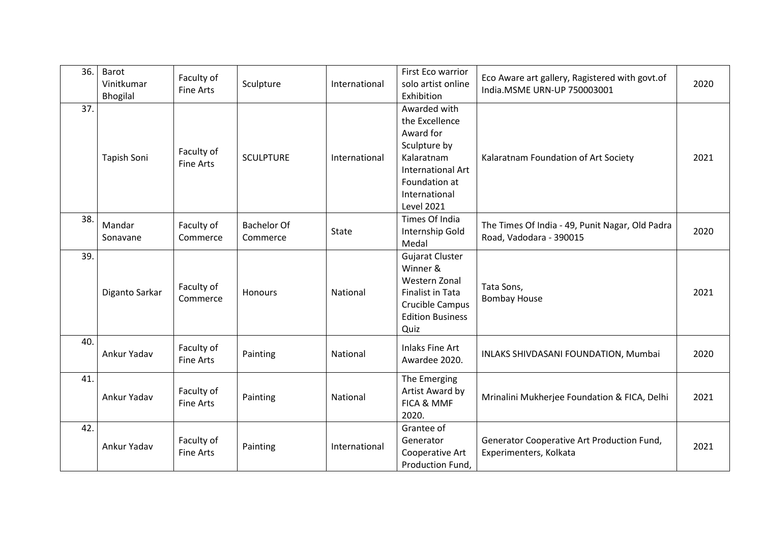| 36. | Barot<br>Vinitkumar<br><b>Bhogilal</b> | Faculty of<br><b>Fine Arts</b> | Sculpture                      | International | First Eco warrior<br>solo artist online<br>Exhibition                                                                                                        | Eco Aware art gallery, Ragistered with govt.of<br>India.MSME URN-UP 750003001 | 2020 |
|-----|----------------------------------------|--------------------------------|--------------------------------|---------------|--------------------------------------------------------------------------------------------------------------------------------------------------------------|-------------------------------------------------------------------------------|------|
| 37. | Tapish Soni                            | Faculty of<br><b>Fine Arts</b> | <b>SCULPTURE</b>               | International | Awarded with<br>the Excellence<br>Award for<br>Sculpture by<br>Kalaratnam<br><b>International Art</b><br>Foundation at<br>International<br><b>Level 2021</b> | Kalaratnam Foundation of Art Society                                          | 2021 |
| 38. | Mandar<br>Sonavane                     | Faculty of<br>Commerce         | <b>Bachelor Of</b><br>Commerce | <b>State</b>  | Times Of India<br>Internship Gold<br>Medal                                                                                                                   | The Times Of India - 49, Punit Nagar, Old Padra<br>Road, Vadodara - 390015    | 2020 |
| 39. | Diganto Sarkar                         | Faculty of<br>Commerce         | <b>Honours</b>                 | National      | <b>Gujarat Cluster</b><br>Winner &<br>Western Zonal<br>Finalist in Tata<br>Crucible Campus<br><b>Edition Business</b><br>Quiz                                | Tata Sons,<br><b>Bombay House</b>                                             | 2021 |
| 40. | Ankur Yadav                            | Faculty of<br><b>Fine Arts</b> | Painting                       | National      | <b>Inlaks Fine Art</b><br>Awardee 2020.                                                                                                                      | INLAKS SHIVDASANI FOUNDATION, Mumbai                                          | 2020 |
| 41. | Ankur Yadav                            | Faculty of<br><b>Fine Arts</b> | Painting                       | National      | The Emerging<br>Artist Award by<br>FICA & MMF<br>2020.                                                                                                       | Mrinalini Mukherjee Foundation & FICA, Delhi                                  | 2021 |
| 42. | Ankur Yadav                            | Faculty of<br><b>Fine Arts</b> | Painting                       | International | Grantee of<br>Generator<br>Cooperative Art<br>Production Fund,                                                                                               | Generator Cooperative Art Production Fund,<br>Experimenters, Kolkata          | 2021 |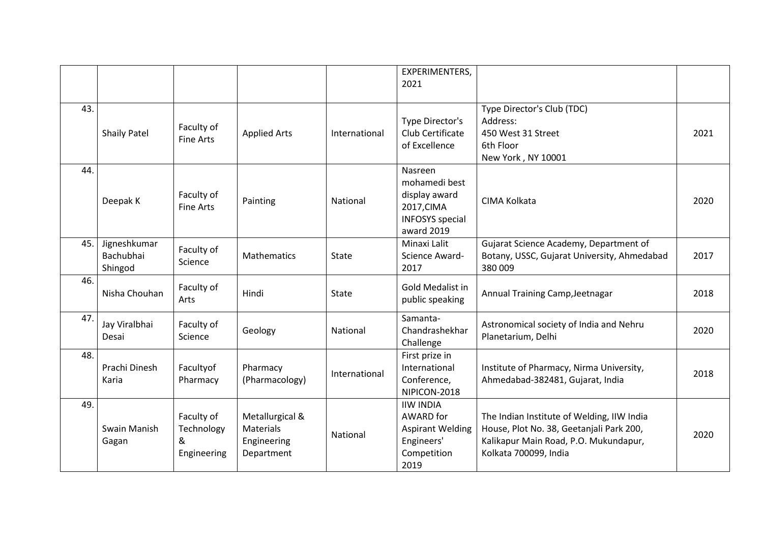|     |                                      |                                              |                                                           |               | EXPERIMENTERS,<br>2021                                                                          |                                                                                                                                                          |      |
|-----|--------------------------------------|----------------------------------------------|-----------------------------------------------------------|---------------|-------------------------------------------------------------------------------------------------|----------------------------------------------------------------------------------------------------------------------------------------------------------|------|
| 43. | <b>Shaily Patel</b>                  | Faculty of<br><b>Fine Arts</b>               | <b>Applied Arts</b>                                       | International | Type Director's<br>Club Certificate<br>of Excellence                                            | Type Director's Club (TDC)<br>Address:<br>450 West 31 Street<br>6th Floor<br>New York, NY 10001                                                          | 2021 |
| 44. | Deepak K                             | Faculty of<br><b>Fine Arts</b>               | Painting                                                  | National      | Nasreen<br>mohamedi best<br>display award<br>2017, CIMA<br><b>INFOSYS</b> special<br>award 2019 | CIMA Kolkata                                                                                                                                             | 2020 |
| 45. | Jigneshkumar<br>Bachubhai<br>Shingod | Faculty of<br>Science                        | Mathematics                                               | State         | Minaxi Lalit<br>Science Award-<br>2017                                                          | Gujarat Science Academy, Department of<br>Botany, USSC, Gujarat University, Ahmedabad<br>380 009                                                         | 2017 |
| 46. | Nisha Chouhan                        | Faculty of<br>Arts                           | Hindi                                                     | State         | Gold Medalist in<br>public speaking                                                             | Annual Training Camp, Jeetnagar                                                                                                                          | 2018 |
| 47. | Jay Viralbhai<br>Desai               | Faculty of<br>Science                        | Geology                                                   | National      | Samanta-<br>Chandrashekhar<br>Challenge                                                         | Astronomical society of India and Nehru<br>Planetarium, Delhi                                                                                            | 2020 |
| 48. | Prachi Dinesh<br>Karia               | Facultyof<br>Pharmacy                        | Pharmacy<br>(Pharmacology)                                | International | First prize in<br>International<br>Conference,<br>NIPICON-2018                                  | Institute of Pharmacy, Nirma University,<br>Ahmedabad-382481, Gujarat, India                                                                             | 2018 |
| 49. | Swain Manish<br>Gagan                | Faculty of<br>Technology<br>&<br>Engineering | Metallurgical &<br>Materials<br>Engineering<br>Department | National      | <b>IIW INDIA</b><br>AWARD for<br><b>Aspirant Welding</b><br>Engineers'<br>Competition<br>2019   | The Indian Institute of Welding, IIW India<br>House, Plot No. 38, Geetanjali Park 200,<br>Kalikapur Main Road, P.O. Mukundapur,<br>Kolkata 700099, India | 2020 |